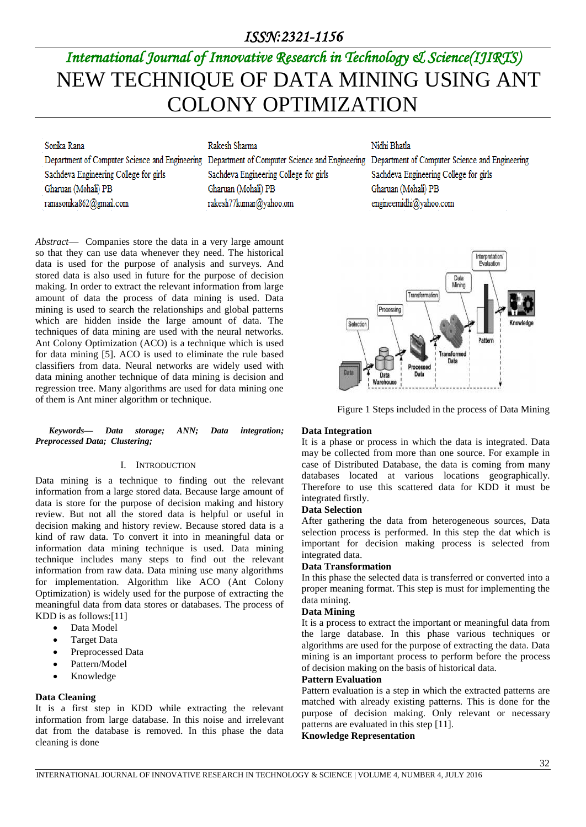### *ISSN:2321-1156*

# *International Journal of Innovative Research in Technology & Science(IJIRTS)* NEW TECHNIQUE OF DATA MINING USING ANT COLONY OPTIMIZATION

#### Sonika Rana

Rakesh Sharma

Sachdeva Engineering College for girls Gharuan (Mohali) PB ranasonika862@gmail.com

Sachdeva Engineering College for girls Gharuan (Mohali) PB rakesh77kumar@yahoo.om

Nidhi Bhatla

Department of Computer Science and Engineering Department of Computer Science and Engineering Department of Computer Science and Engineering Sachdeva Engineering College for girls Gharuan (Mohali) PB engineernidhi@vahoo.com



Figure 1 Steps included in the process of Data Mining

#### *Keywords— Data storage; ANN; Data integration; Preprocessed Data; Clustering;*

#### I. INTRODUCTION

of them is Ant miner algorithm or technique.

*Abstract*— Companies store the data in a very large amount so that they can use data whenever they need. The historical data is used for the purpose of analysis and surveys. And stored data is also used in future for the purpose of decision making. In order to extract the relevant information from large amount of data the process of data mining is used. Data mining is used to search the relationships and global patterns which are hidden inside the large amount of data. The techniques of data mining are used with the neural networks. Ant Colony Optimization (ACO) is a technique which is used for data mining [5]. ACO is used to eliminate the rule based classifiers from data. Neural networks are widely used with data mining another technique of data mining is decision and regression tree. Many algorithms are used for data mining one

Data mining is a technique to finding out the relevant information from a large stored data. Because large amount of data is store for the purpose of decision making and history review. But not all the stored data is helpful or useful in decision making and history review. Because stored data is a kind of raw data. To convert it into in meaningful data or information data mining technique is used. Data mining technique includes many steps to find out the relevant information from raw data. Data mining use many algorithms for implementation. Algorithm like ACO (Ant Colony Optimization) is widely used for the purpose of extracting the meaningful data from data stores or databases. The process of KDD is as follows:[11]

- Data Model
- Target Data
- Preprocessed Data
- Pattern/Model
- Knowledge

#### **Data Cleaning**

It is a first step in KDD while extracting the relevant information from large database. In this noise and irrelevant dat from the database is removed. In this phase the data cleaning is done

#### **Data Integration**

It is a phase or process in which the data is integrated. Data may be collected from more than one source. For example in case of Distributed Database, the data is coming from many databases located at various locations geographically. Therefore to use this scattered data for KDD it must be integrated firstly.

#### **Data Selection**

After gathering the data from heterogeneous sources, Data selection process is performed. In this step the dat which is important for decision making process is selected from integrated data.

#### **Data Transformation**

In this phase the selected data is transferred or converted into a proper meaning format. This step is must for implementing the data mining.

#### **Data Mining**

It is a process to extract the important or meaningful data from the large database. In this phase various techniques or algorithms are used for the purpose of extracting the data. Data mining is an important process to perform before the process of decision making on the basis of historical data.

#### **Pattern Evaluation**

Pattern evaluation is a step in which the extracted patterns are matched with already existing patterns. This is done for the purpose of decision making. Only relevant or necessary patterns are evaluated in this step [11].

#### **Knowledge Representation**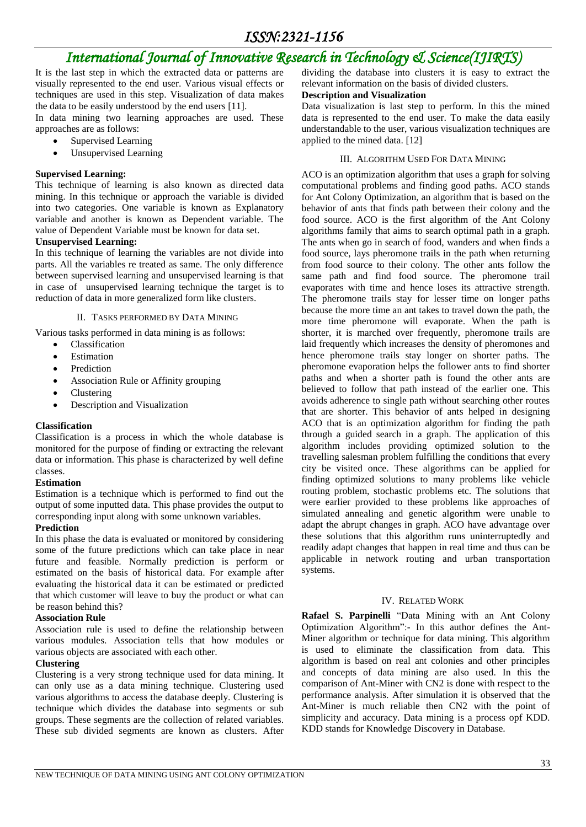# *International Journal of Innovative Research in Technology & Science(IJIRTS)*

It is the last step in which the extracted data or patterns are visually represented to the end user. Various visual effects or techniques are used in this step. Visualization of data makes the data to be easily understood by the end users [11].

In data mining two learning approaches are used. These approaches are as follows:

- Supervised Learning
- Unsupervised Learning

#### **Supervised Learning:**

This technique of learning is also known as directed data mining. In this technique or approach the variable is divided into two categories. One variable is known as Explanatory variable and another is known as Dependent variable. The value of Dependent Variable must be known for data set.

#### **Unsupervised Learning:**

In this technique of learning the variables are not divide into parts. All the variables re treated as same. The only difference between supervised learning and unsupervised learning is that in case of unsupervised learning technique the target is to reduction of data in more generalized form like clusters.

#### II. TASKS PERFORMED BY DATA MINING

Various tasks performed in data mining is as follows:

- Classification
- Estimation
- Prediction
- Association Rule or Affinity grouping
- Clustering
- Description and Visualization

#### **Classification**

Classification is a process in which the whole database is monitored for the purpose of finding or extracting the relevant data or information. This phase is characterized by well define classes.

#### **Estimation**

Estimation is a technique which is performed to find out the output of some inputted data. This phase provides the output to corresponding input along with some unknown variables.

#### **Prediction**

In this phase the data is evaluated or monitored by considering some of the future predictions which can take place in near future and feasible. Normally prediction is perform or estimated on the basis of historical data. For example after evaluating the historical data it can be estimated or predicted that which customer will leave to buy the product or what can be reason behind this?

#### **Association Rule**

Association rule is used to define the relationship between various modules. Association tells that how modules or various objects are associated with each other.

#### **Clustering**

Clustering is a very strong technique used for data mining. It can only use as a data mining technique. Clustering used various algorithms to access the database deeply. Clustering is technique which divides the database into segments or sub groups. These segments are the collection of related variables. These sub divided segments are known as clusters. After dividing the database into clusters it is easy to extract the relevant information on the basis of divided clusters.

#### **Description and Visualization**

Data visualization is last step to perform. In this the mined data is represented to the end user. To make the data easily understandable to the user, various visualization techniques are applied to the mined data. [12]

#### III. ALGORITHM USED FOR DATA MINING

ACO is an optimization algorithm that uses a graph for solving computational problems and finding good paths. ACO stands for Ant Colony Optimization, an algorithm that is based on the behavior of ants that finds path between their colony and the food source. ACO is the first algorithm of the Ant Colony algorithms family that aims to search optimal path in a graph. The ants when go in search of food, wanders and when finds a food source, lays pheromone trails in the path when returning from food source to their colony. The other ants follow the same path and find food source. The pheromone trail evaporates with time and hence loses its attractive strength. The pheromone trails stay for lesser time on longer paths because the more time an ant takes to travel down the path, the more time pheromone will evaporate. When the path is shorter, it is marched over frequently, pheromone trails are laid frequently which increases the density of pheromones and hence pheromone trails stay longer on shorter paths. The pheromone evaporation helps the follower ants to find shorter paths and when a shorter path is found the other ants are believed to follow that path instead of the earlier one. This avoids adherence to single path without searching other routes that are shorter. This behavior of ants helped in designing ACO that is an optimization algorithm for finding the path through a guided search in a graph. The application of this algorithm includes providing optimized solution to the travelling salesman problem fulfilling the conditions that every city be visited once. These algorithms can be applied for finding optimized solutions to many problems like vehicle routing problem, stochastic problems etc. The solutions that were earlier provided to these problems like approaches of simulated annealing and genetic algorithm were unable to adapt the abrupt changes in graph. ACO have advantage over these solutions that this algorithm runs uninterruptedly and readily adapt changes that happen in real time and thus can be applicable in network routing and urban transportation systems.

#### IV. RELATED WORK

**Rafael S. Parpinelli** "Data Mining with an Ant Colony Optimization Algorithm":- In this author defines the Ant-Miner algorithm or technique for data mining. This algorithm is used to eliminate the classification from data. This algorithm is based on real ant colonies and other principles and concepts of data mining are also used. In this the comparison of Ant-Miner with CN2 is done with respect to the performance analysis. After simulation it is observed that the Ant-Miner is much reliable then CN2 with the point of simplicity and accuracy. Data mining is a process opf KDD. KDD stands for Knowledge Discovery in Database.